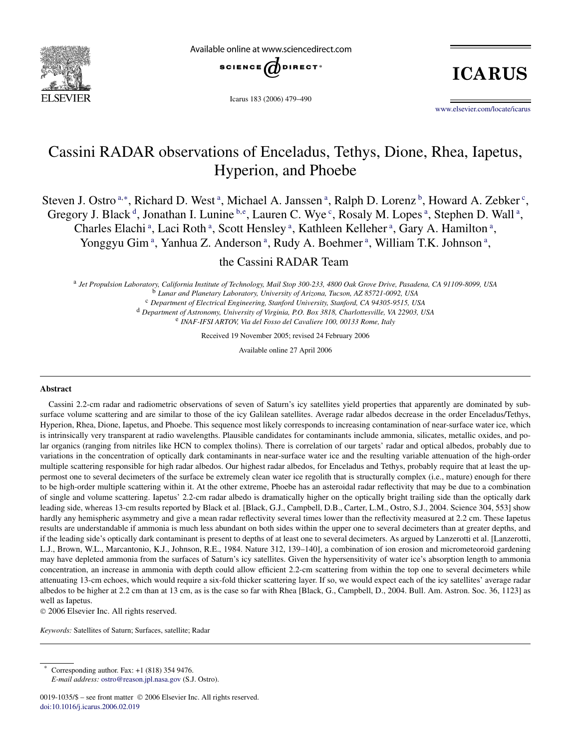

Available online at www.sciencedirect.com



Icarus 183 (2006) 479–490

**ICARUS** 

[www.elsevier.com/locate/icarus](http://www.elsevier.com/locate/icarus)

# Cassini RADAR observations of Enceladus, Tethys, Dione, Rhea, Iapetus, Hyperion, and Phoebe

Steven J. Ostro<sup>a,∗</sup>, Richard D. West<sup>a</sup>, Michael A. Janssen<sup>a</sup>, Ralph D. Lorenz<sup>b</sup>, Howard A. Zebker<sup>c</sup>, Gregory J. Black<sup>d</sup>, Jonathan I. Lunine b,e, Lauren C. Wye<sup>c</sup>, Rosaly M. Lopes<sup>a</sup>, Stephen D. Wall<sup>a</sup>, Charles Elachi<sup>a</sup>, Laci Roth<sup>a</sup>, Scott Hensley<sup>a</sup>, Kathleen Kelleher<sup>a</sup>, Gary A. Hamilton<sup>a</sup>, Yonggyu Gim<sup>a</sup>, Yanhua Z. Anderson<sup>a</sup>, Rudy A. Boehmer<sup>a</sup>, William T.K. Johnson<sup>a</sup>,

the Cassini RADAR Team

<sup>a</sup> *Jet Propulsion Laboratory, California Institute of Technology, Mail Stop 300-233, 4800 Oak Grove Drive, Pasadena, CA 91109-8099, USA* <sup>b</sup> *Lunar and Planetary Laboratory, University of Arizona, Tucson, AZ 85721-0092, USA*

<sup>c</sup> *Department of Electrical Engineering, Stanford University, Stanford, CA 94305-9515, USA*

<sup>d</sup> *Department of Astronomy, University of Virginia, P.O. Box 3818, Charlottesville, VA 22903, USA*

<sup>e</sup> *INAF-IFSI ARTOV, Via del Fosso del Cavaliere 100, 00133 Rome, Italy*

Received 19 November 2005; revised 24 February 2006

Available online 27 April 2006

## **Abstract**

Cassini 2.2-cm radar and radiometric observations of seven of Saturn's icy satellites yield properties that apparently are dominated by subsurface volume scattering and are similar to those of the icy Galilean satellites. Average radar albedos decrease in the order Enceladus/Tethys, Hyperion, Rhea, Dione, Iapetus, and Phoebe. This sequence most likely corresponds to increasing contamination of near-surface water ice, which is intrinsically very transparent at radio wavelengths. Plausible candidates for contaminants include ammonia, silicates, metallic oxides, and polar organics (ranging from nitriles like HCN to complex tholins). There is correlation of our targets' radar and optical albedos, probably due to variations in the concentration of optically dark contaminants in near-surface water ice and the resulting variable attenuation of the high-order multiple scattering responsible for high radar albedos. Our highest radar albedos, for Enceladus and Tethys, probably require that at least the uppermost one to several decimeters of the surface be extremely clean water ice regolith that is structurally complex (i.e., mature) enough for there to be high-order multiple scattering within it. At the other extreme, Phoebe has an asteroidal radar reflectivity that may be due to a combination of single and volume scattering. Iapetus' 2.2-cm radar albedo is dramatically higher on the optically bright trailing side than the optically dark leading side, whereas 13-cm results reported by Black et al. [Black, G.J., Campbell, D.B., Carter, L.M., Ostro, S.J., 2004. Science 304, 553] show hardly any hemispheric asymmetry and give a mean radar reflectivity several times lower than the reflectivity measured at 2.2 cm. These Iapetus results are understandable if ammonia is much less abundant on both sides within the upper one to several decimeters than at greater depths, and if the leading side's optically dark contaminant is present to depths of at least one to several decimeters. As argued by Lanzerotti et al. [Lanzerotti, L.J., Brown, W.L., Marcantonio, K.J., Johnson, R.E., 1984. Nature 312, 139–140], a combination of ion erosion and micrometeoroid gardening may have depleted ammonia from the surfaces of Saturn's icy satellites. Given the hypersensitivity of water ice's absorption length to ammonia concentration, an increase in ammonia with depth could allow efficient 2.2-cm scattering from within the top one to several decimeters while attenuating 13-cm echoes, which would require a six-fold thicker scattering layer. If so, we would expect each of the icy satellites' average radar albedos to be higher at 2.2 cm than at 13 cm, as is the case so far with Rhea [Black, G., Campbell, D., 2004. Bull. Am. Astron. Soc. 36, 1123] as well as Iapetus.

© 2006 Elsevier Inc. All rights reserved.

*Keywords:* Satellites of Saturn; Surfaces, satellite; Radar

Corresponding author. Fax:  $+1$  (818) 354 9476. *E-mail address:* [ostro@reason.jpl.nasa.gov](mailto:ostro@reason.jpl.nasa.gov) (S.J. Ostro).

<sup>0019-1035/\$ –</sup> see front matter © 2006 Elsevier Inc. All rights reserved. [doi:10.1016/j.icarus.2006.02.019](http://dx.doi.org/10.1016/j.icarus.2006.02.019)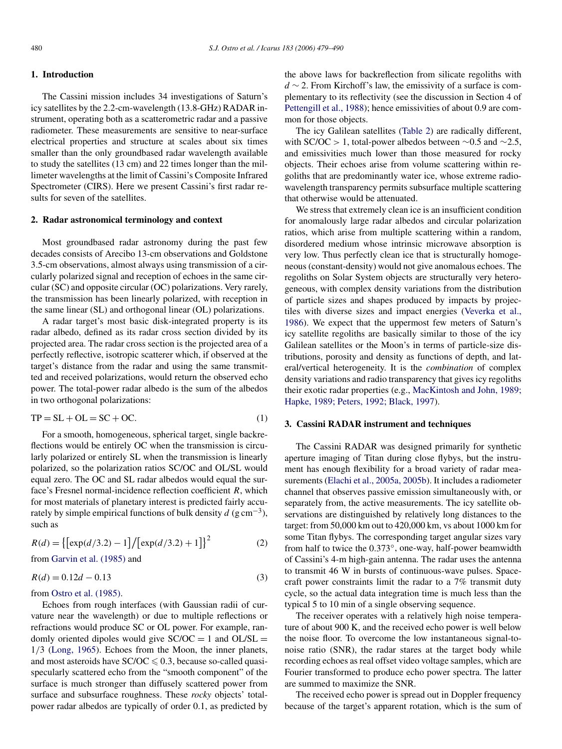## <span id="page-1-0"></span>**1. Introduction**

The Cassini mission includes 34 investigations of Saturn's icy satellites by the 2.2-cm-wavelength (13.8-GHz) RADAR instrument, operating both as a scatterometric radar and a passive radiometer. These measurements are sensitive to near-surface electrical properties and structure at scales about six times smaller than the only groundbased radar wavelength available to study the satellites (13 cm) and 22 times longer than the millimeter wavelengths at the limit of Cassini's Composite Infrared Spectrometer (CIRS). Here we present Cassini's first radar results for seven of the satellites.

## **2. Radar astronomical terminology and context**

Most groundbased radar astronomy during the past few decades consists of Arecibo 13-cm observations and Goldstone 3.5-cm observations, almost always using transmission of a circularly polarized signal and reception of echoes in the same circular (SC) and opposite circular (OC) polarizations. Very rarely, the transmission has been linearly polarized, with reception in the same linear (SL) and orthogonal linear (OL) polarizations.

A radar target's most basic disk-integrated property is its radar albedo, defined as its radar cross section divided by its projected area. The radar cross section is the projected area of a perfectly reflective, isotropic scatterer which, if observed at the target's distance from the radar and using the same transmitted and received polarizations, would return the observed echo power. The total-power radar albedo is the sum of the albedos in two orthogonal polarizations:

$$
TP = SL + OL = SC + OC.
$$
 (1)

For a smooth, homogeneous, spherical target, single backreflections would be entirely OC when the transmission is circularly polarized or entirely SL when the transmission is linearly polarized, so the polarization ratios SC/OC and OL/SL would equal zero. The OC and SL radar albedos would equal the surface's Fresnel normal-incidence reflection coefficient *R*, which for most materials of planetary interest is predicted fairly accurately by simple empirical functions of bulk density  $d$  (g cm<sup>-3</sup>), such as

$$
R(d) = \{ \left[ \exp(d/3.2) - 1 \right] / \left[ \exp(d/3.2) + 1 \right] \}^2 \tag{2}
$$

from [Garvin et al. \(1985\)](#page-10-0) and

$$
R(d) = 0.12d - 0.13\tag{3}
$$

## from [Ostro et al. \(1985\).](#page-11-0)

Echoes from rough interfaces (with Gaussian radii of curvature near the wavelength) or due to multiple reflections or refractions would produce SC or OL power. For example, randomly oriented dipoles would give  $SC/OC = 1$  and  $OL/SL =$ 1*/*3 [\(Long, 1965\)](#page-11-0). Echoes from the Moon, the inner planets, and most asteroids have  $SC/OC \leq 0.3$ , because so-called quasispecularly scattered echo from the "smooth component" of the surface is much stronger than diffusely scattered power from surface and subsurface roughness. These *rocky* objects' totalpower radar albedos are typically of order 0.1, as predicted by the above laws for backreflection from silicate regoliths with *d* ∼ 2. From Kirchoff's law, the emissivity of a surface is complementary to its reflectivity (see the discussion in Section 4 of [Pettengill et al., 1988\)](#page-11-0); hence emissivities of about 0.9 are common for those objects.

The icy Galilean satellites [\(Table 2\)](#page-3-0) are radically different, with SC/OC *>* 1, total-power albedos between ∼0.5 and ∼2.5, and emissivities much lower than those measured for rocky objects. Their echoes arise from volume scattering within regoliths that are predominantly water ice, whose extreme radiowavelength transparency permits subsurface multiple scattering that otherwise would be attenuated.

We stress that extremely clean ice is an insufficient condition for anomalously large radar albedos and circular polarization ratios, which arise from multiple scattering within a random, disordered medium whose intrinsic microwave absorption is very low. Thus perfectly clean ice that is structurally homogeneous (constant-density) would not give anomalous echoes. The regoliths on Solar System objects are structurally very heterogeneous, with complex density variations from the distribution of particle sizes and shapes produced by impacts by projectiles with diverse sizes and impact energies [\(Veverka et al.,](#page-11-0) [1986\)](#page-11-0). We expect that the uppermost few meters of Saturn's icy satellite regoliths are basically similar to those of the icy Galilean satellites or the Moon's in terms of particle-size distributions, porosity and density as functions of depth, and lateral/vertical heterogeneity. It is the *combination* of complex density variations and radio transparency that gives icy regoliths their exotic radar properties (e.g., [MacKintosh and John, 1989;](#page-11-0) [Hapke, 1989; Peters, 1992; Black, 1997\)](#page-11-0).

#### **3. Cassini RADAR instrument and techniques**

The Cassini RADAR was designed primarily for synthetic aperture imaging of Titan during close flybys, but the instrument has enough flexibility for a broad variety of radar measurements [\(Elachi et al., 2005a, 2005b\)](#page-10-0). It includes a radiometer channel that observes passive emission simultaneously with, or separately from, the active measurements. The icy satellite observations are distinguished by relatively long distances to the target: from 50,000 km out to 420,000 km, vs about 1000 km for some Titan flybys. The corresponding target angular sizes vary from half to twice the 0.373°, one-way, half-power beamwidth of Cassini's 4-m high-gain antenna. The radar uses the antenna to transmit 46 W in bursts of continuous-wave pulses. Spacecraft power constraints limit the radar to a 7% transmit duty cycle, so the actual data integration time is much less than the typical 5 to 10 min of a single observing sequence.

The receiver operates with a relatively high noise temperature of about 900 K, and the received echo power is well below the noise floor. To overcome the low instantaneous signal-tonoise ratio (SNR), the radar stares at the target body while recording echoes as real offset video voltage samples, which are Fourier transformed to produce echo power spectra. The latter are summed to maximize the SNR.

The received echo power is spread out in Doppler frequency because of the target's apparent rotation, which is the sum of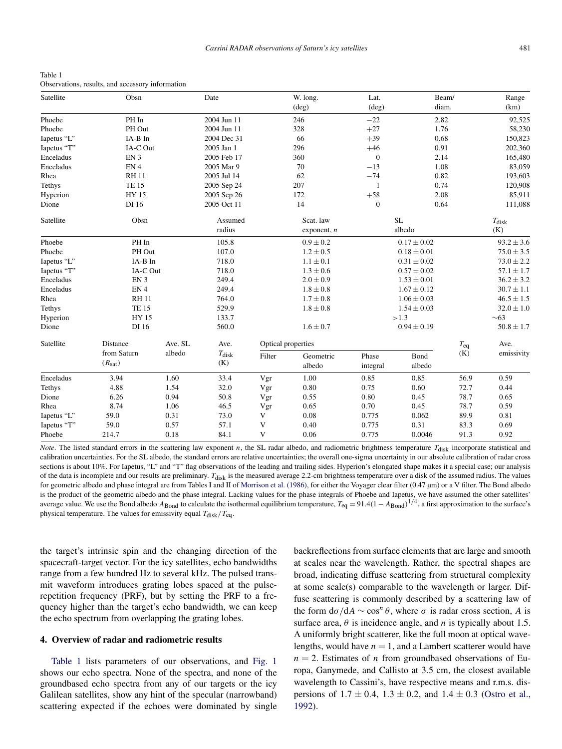<span id="page-2-0"></span>

| Table 1                                          |  |  |
|--------------------------------------------------|--|--|
| Observations, results, and accessory information |  |  |

| Satellite   | Obsn                           |         | Date                  |                                | W. long.            | Lat.              |                 | Beam/          | Range          |
|-------------|--------------------------------|---------|-----------------------|--------------------------------|---------------------|-------------------|-----------------|----------------|----------------|
|             |                                |         |                       |                                | $(\text{deg})$      | $(\text{deg})$    | diam.           |                | (km)           |
| Phoebe      | PH In                          |         | 2004 Jun 11           |                                | 246                 | $-22$             | 2.82            |                | 92,525         |
| Phoebe      | PH Out                         |         | 2004 Jun 11           |                                | 328                 | $+27$             | 1.76            |                | 58,230         |
| Iapetus "L" | IA-B In                        |         | 2004 Dec 31           |                                | 66                  | $+39$             | 0.68            |                | 150,823        |
| Iapetus "T" | IA-C Out                       |         | 2005 Jan 1            |                                | 296                 | $+46$             | 0.91            |                | 202,360        |
| Enceladus   | EN <sub>3</sub>                |         | 2005 Feb 17           |                                | 360                 | $\boldsymbol{0}$  | 2.14            |                | 165,480        |
| Enceladus   | EN <sub>4</sub>                |         | 2005 Mar 9            |                                | 70                  | $-13$             | 1.08            |                | 83,059         |
| Rhea        | <b>RH11</b>                    |         | 2005 Jul 14           |                                | 62                  | $-74$             | 0.82            |                | 193,603        |
| Tethys      | <b>TE 15</b>                   |         | 2005 Sep 24           |                                | 207                 | $\mathbf{1}$      | 0.74            |                | 120,908        |
| Hyperion    | HY 15                          |         | 2005 Sep 26           |                                | 172                 | $+58$             | 2.08            |                | 85,911         |
| Dione       | DI 16                          |         | 2005 Oct 11           |                                | 14                  | $\mathbf{0}$      | 0.64            |                | 111,088        |
| Satellite   | Obsn                           |         | Assumed               |                                | Scat. law           |                   | <b>SL</b>       |                | $T_{\rm disk}$ |
|             |                                |         | radius                |                                | exponent, $n$       |                   | albedo          |                | (K)            |
| Phoebe      | PH In                          |         | 105.8                 |                                | $0.9 \pm 0.2$       |                   | $0.17 \pm 0.02$ |                | $93.2 \pm 3.6$ |
| Phoebe      | PH Out                         |         | 107.0                 |                                | $1.2 \pm 0.5$       | $0.18 \pm 0.01$   |                 |                | $75.0 \pm 3.5$ |
| Iapetus "L" | IA-B In                        |         | 718.0                 |                                | $1.1 \pm 0.1$       | $0.31 \pm 0.02$   |                 |                | $73.0 \pm 2.2$ |
| Iapetus "T" | IA-C Out                       |         | 718.0                 |                                | $1.3 \pm 0.6$       | $0.57 \pm 0.02$   |                 |                | $57.1 \pm 1.7$ |
| Enceladus   | EN <sub>3</sub>                |         | 249.4                 |                                | $2.0 \pm 0.9$       | $1.53 \pm 0.01$   |                 | $36.2 \pm 3.2$ |                |
| Enceladus   | EN <sub>4</sub>                |         | 249.4                 |                                | $1.8 \pm 0.8$       | $1.67 \pm 0.12$   |                 | $30.7 \pm 1.1$ |                |
| Rhea        | <b>RH11</b>                    |         | 764.0                 |                                | $1.7 \pm 0.8$       | $1.06 \pm 0.03$   |                 | $46.5 \pm 1.5$ |                |
| Tethys      | <b>TE 15</b>                   |         | 529.9                 |                                | $1.8 \pm 0.8$       | $1.54 \pm 0.03$   |                 | $32.0 \pm 1.0$ |                |
| Hyperion    | HY 15                          |         | 133.7                 |                                |                     | >1.3              |                 | ~10            |                |
| Dione       | DI 16                          |         | 560.0                 |                                | $1.6 \pm 0.7$       | $0.94 \pm 0.19$   |                 | $50.8 \pm 1.7$ |                |
| Satellite   | Distance                       | Ave. SL | Ave.                  | Optical properties<br>$T_{eq}$ |                     |                   | Ave.            |                |                |
|             | from Saturn<br>$(R_{\rm sat})$ | albedo  | $T_{\rm disk}$<br>(K) | Filter                         | Geometric<br>albedo | Phase<br>integral | Bond<br>albedo  | (K)            | emissivity     |
| Enceladus   | 3.94                           | 1.60    | 33.4                  | Vgr                            | 1.00                | 0.85              | 0.85            | 56.9           | 0.59           |
| Tethys      | 4.88                           | 1.54    | 32.0                  | Vgr                            | 0.80                | 0.75              | 0.60            | 72.7           | 0.44           |
| Dione       | 6.26                           | 0.94    | 50.8                  | Vgr                            | 0.55                | 0.80              | 0.45            | 78.7           | 0.65           |
| Rhea        | 8.74                           | 1.06    | 46.5                  | Vgr                            | 0.65                | 0.70              | 0.45            | 78.7           | 0.59           |
| Iapetus "L" | 59.0                           | 0.31    | 73.0                  | V                              | 0.08                | 0.775             | 0.062           | 89.9           | 0.81           |
| Iapetus "T" | 59.0                           | 0.57    | 57.1                  | V                              | 0.40                | 0.775             | 0.31            | 83.3           | 0.69           |
| Phoebe      | 214.7                          | 0.18    | 84.1                  | V                              | 0.06                | 0.775             | 0.0046          | 91.3           | 0.92           |

*Note*. The listed standard errors in the scattering law exponent *n*, the SL radar albedo, and radiometric brightness temperature  $T_{\text{disk}}$  incorporate statistical and calibration uncertainties. For the SL albedo, the standard errors are relative uncertainties; the overall one-sigma uncertainty in our absolute calibration of radar cross sections is about 10%. For Iapetus, "L" and "T" flag observations of the leading and trailing sides. Hyperion's elongated shape makes it a special case; our analysis of the data is incomplete and our results are preliminary. *T*disk is the measured average 2.2-cm brightness temperature over a disk of the assumed radius. The values for geometric albedo and phase integral are from Tables I and II of [Morrison et al. \(1986\),](#page-11-0) for either the Voyager clear filter (0.47 µm) or a V filter. The Bond albedo is the product of the geometric albedo and the phase integral. Lacking values for the phase integrals of Phoebe and Iapetus, we have assumed the other satellites'<br>average value. We use the Bond albedo  $A_{Bond}$  to calculate physical temperature. The values for emissivity equal  $T_{disk}/T_{eq}$ .

the target's intrinsic spin and the changing direction of the spacecraft-target vector. For the icy satellites, echo bandwidths range from a few hundred Hz to several kHz. The pulsed transmit waveform introduces grating lobes spaced at the pulserepetition frequency (PRF), but by setting the PRF to a frequency higher than the target's echo bandwidth, we can keep the echo spectrum from overlapping the grating lobes.

## **4. Overview of radar and radiometric results**

Table 1 lists parameters of our observations, and [Fig. 1](#page-4-0) shows our echo spectra. None of the spectra, and none of the groundbased echo spectra from any of our targets or the icy Galilean satellites, show any hint of the specular (narrowband) scattering expected if the echoes were dominated by single backreflections from surface elements that are large and smooth at scales near the wavelength. Rather, the spectral shapes are broad, indicating diffuse scattering from structural complexity at some scale(s) comparable to the wavelength or larger. Diffuse scattering is commonly described by a scattering law of the form  $d\sigma/dA \sim \cos^n \theta$ , where  $\sigma$  is radar cross section, *A* is surface area,  $\theta$  is incidence angle, and *n* is typically about 1.5. A uniformly bright scatterer, like the full moon at optical wavelengths, would have  $n = 1$ , and a Lambert scatterer would have  $n = 2$ . Estimates of *n* from groundbased observations of Europa, Ganymede, and Callisto at 3.5 cm, the closest available wavelength to Cassini's, have respective means and r.m.s. dispersions of  $1.7 \pm 0.4$ ,  $1.3 \pm 0.2$ , and  $1.4 \pm 0.3$  [\(Ostro et al.,](#page-11-0) [1992\)](#page-11-0).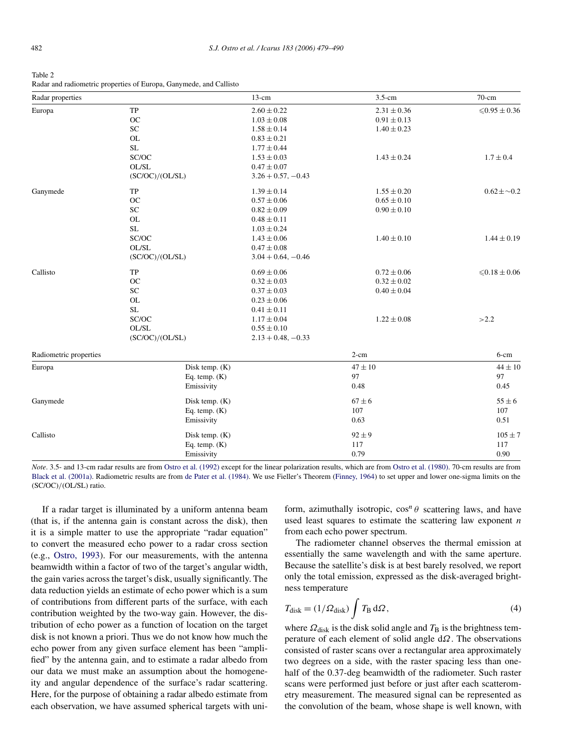<span id="page-3-0"></span>

| Table 2                                                            |  |
|--------------------------------------------------------------------|--|
| Radar and radiometric properties of Europa, Ganymede, and Callisto |  |

| Radar properties       |                   | $13-cm$              | $3.5-cm$        | 70-cm                          |
|------------------------|-------------------|----------------------|-----------------|--------------------------------|
| Europa                 | TP                | $2.60 \pm 0.22$      | $2.31 \pm 0.36$ | $\leqslant 0.95 \pm 0.36$      |
|                        | OC                | $1.03 \pm 0.08$      | $0.91 \pm 0.13$ |                                |
|                        | <b>SC</b>         | $1.58 \pm 0.14$      | $1.40 \pm 0.23$ |                                |
|                        | OL                | $0.83 \pm 0.21$      |                 |                                |
|                        | <b>SL</b>         | $1.77 \pm 0.44$      |                 |                                |
|                        | SC/OC             | $1.53 \pm 0.03$      | $1.43 \pm 0.24$ | $1.7 \pm 0.4$                  |
|                        | OL/SL             | $0.47 \pm 0.07$      |                 |                                |
|                        | (SC/OC)/(OL/SL)   | $3.26 + 0.57, -0.43$ |                 |                                |
| Ganymede               | TP                | $1.39 \pm 0.14$      | $1.55 \pm 0.20$ | $0.62 \pm 0.2$                 |
|                        | <b>OC</b>         | $0.57 \pm 0.06$      | $0.65 \pm 0.10$ |                                |
|                        | <b>SC</b>         | $0.82 \pm 0.09$      | $0.90 \pm 0.10$ |                                |
|                        | $\mathop{\rm OL}$ | $0.48 \pm 0.11$      |                 |                                |
|                        | <b>SL</b>         | $1.03 \pm 0.24$      |                 |                                |
|                        | SC/OC             | $1.43 \pm 0.06$      | $1.40 \pm 0.10$ | $1.44 \pm 0.19$                |
|                        | OL/SL             | $0.47 \pm 0.08$      |                 |                                |
|                        | (SC/OC)/(OL/SL)   | $3.04 + 0.64, -0.46$ |                 |                                |
| Callisto               | TP                | $0.69 \pm 0.06$      | $0.72 \pm 0.06$ | ${\leqslant}0.18{\,\pm\,}0.06$ |
|                        | <b>OC</b>         | $0.32 \pm 0.03$      | $0.32 \pm 0.02$ |                                |
|                        | <b>SC</b>         | $0.37 \pm 0.03$      | $0.40 \pm 0.04$ |                                |
|                        | OL                | $0.23 \pm 0.06$      |                 |                                |
|                        | <b>SL</b>         | $0.41 \pm 0.11$      |                 |                                |
|                        | SC/OC             | $1.17 \pm 0.04$      | $1.22 \pm 0.08$ | >2.2                           |
|                        | OL/SL             | $0.55 \pm 0.10$      |                 |                                |
|                        | (SC/OC)/(OL/SL)   | $2.13 + 0.48, -0.33$ |                 |                                |
| Radiometric properties |                   |                      | $2-cm$          | $6$ -cm                        |
| Europa                 | Disk temp. (K)    |                      | $47 \pm 10$     | $44 \pm 10$                    |
|                        | Eq. temp. (K)     |                      | 97              | 97                             |
|                        | Emissivity        |                      | 0.48            | 0.45                           |
| Ganymede               | Disk temp. $(K)$  |                      | $67 \pm 6$      | $55\pm6$                       |
|                        | Eq. temp. $(K)$   |                      | 107             | 107                            |
|                        | Emissivity        |                      | 0.63            | 0.51                           |
| Callisto               | Disk temp. (K)    |                      | $92 \pm 9$      | $105 \pm 7$                    |
|                        | Eq. temp. $(K)$   |                      | 117             | 117                            |
|                        | Emissivity        |                      | 0.79            | 0.90                           |

*Note*. 3.5- and 13-cm radar results are from [Ostro et al. \(1992\)](#page-11-0) except for the linear polarization results, which are from [Ostro et al. \(1980\).](#page-11-0) 70-cm results are from [Black et al. \(2001a\).](#page-10-0) Radiometric results are from [de Pater et al. \(1984\).](#page-10-0) We use Fieller's Theorem [\(Finney, 1964\)](#page-10-0) to set upper and lower one-sigma limits on the (SC/OC)*/*(OL/SL) ratio.

If a radar target is illuminated by a uniform antenna beam (that is, if the antenna gain is constant across the disk), then it is a simple matter to use the appropriate "radar equation" to convert the measured echo power to a radar cross section (e.g., [Ostro, 1993\)](#page-11-0). For our measurements, with the antenna beamwidth within a factor of two of the target's angular width, the gain varies across the target's disk, usually significantly. The data reduction yields an estimate of echo power which is a sum of contributions from different parts of the surface, with each contribution weighted by the two-way gain. However, the distribution of echo power as a function of location on the target disk is not known a priori. Thus we do not know how much the echo power from any given surface element has been "amplified" by the antenna gain, and to estimate a radar albedo from our data we must make an assumption about the homogeneity and angular dependence of the surface's radar scattering. Here, for the purpose of obtaining a radar albedo estimate from each observation, we have assumed spherical targets with uniform, azimuthally isotropic,  $\cos^n \theta$  scattering laws, and have used least squares to estimate the scattering law exponent *n* from each echo power spectrum.

The radiometer channel observes the thermal emission at essentially the same wavelength and with the same aperture. Because the satellite's disk is at best barely resolved, we report only the total emission, expressed as the disk-averaged brightness temperature

$$
T_{\text{disk}} = (1/\Omega_{\text{disk}}) \int T_{\text{B}} \, d\Omega, \tag{4}
$$

where  $\Omega_{disk}$  is the disk solid angle and  $T_B$  is the brightness temperature of each element of solid angle d*Ω*. The observations consisted of raster scans over a rectangular area approximately two degrees on a side, with the raster spacing less than onehalf of the 0.37-deg beamwidth of the radiometer. Such raster scans were performed just before or just after each scatterometry measurement. The measured signal can be represented as the convolution of the beam, whose shape is well known, with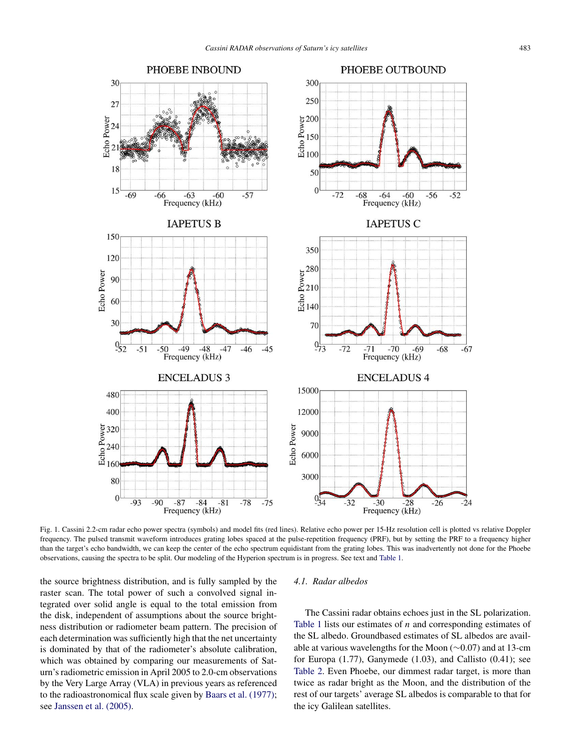<span id="page-4-0"></span>

Fig. 1. Cassini 2.2-cm radar echo power spectra (symbols) and model fits (red lines). Relative echo power per 15-Hz resolution cell is plotted vs relative Doppler frequency. The pulsed transmit waveform introduces grating lobes spaced at the pulse-repetition frequency (PRF), but by setting the PRF to a frequency higher than the target's echo bandwidth, we can keep the center of the echo spectrum equidistant from the grating lobes. This was inadvertently not done for the Phoebe observations, causing the spectra to be split. Our modeling of the Hyperion spectrum is in progress. See text and [Table 1.](#page-2-0)

the source brightness distribution, and is fully sampled by the raster scan. The total power of such a convolved signal integrated over solid angle is equal to the total emission from the disk, independent of assumptions about the source brightness distribution or radiometer beam pattern. The precision of each determination was sufficiently high that the net uncertainty is dominated by that of the radiometer's absolute calibration, which was obtained by comparing our measurements of Saturn's radiometric emission in April 2005 to 2.0-cm observations by the Very Large Array (VLA) in previous years as referenced to the radioastronomical flux scale given by [Baars et al. \(1977\);](#page-10-0) see [Janssen et al. \(2005\).](#page-11-0)

## *4.1. Radar albedos*

The Cassini radar obtains echoes just in the SL polarization. [Table 1](#page-2-0) lists our estimates of *n* and corresponding estimates of the SL albedo. Groundbased estimates of SL albedos are available at various wavelengths for the Moon (∼0.07) and at 13-cm for Europa (1.77), Ganymede (1.03), and Callisto (0.41); see [Table 2.](#page-3-0) Even Phoebe, our dimmest radar target, is more than twice as radar bright as the Moon, and the distribution of the rest of our targets' average SL albedos is comparable to that for the icy Galilean satellites.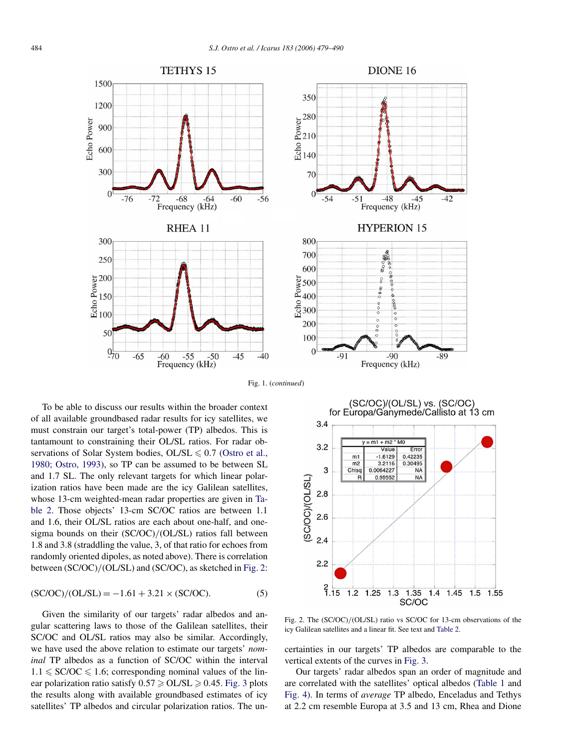<span id="page-5-0"></span>



Fig. 1. (*continued*)

 $\sqrt{ }$ 

 $-91$ 

To be able to discuss our results within the broader context of all available groundbased radar results for icy satellites, we must constrain our target's total-power (TP) albedos. This is tantamount to constraining their OL/SL ratios. For radar observations of Solar System bodies, OL/SL  $\leq 0.7$  [\(Ostro et al.,](#page-11-0) [1980; Ostro, 1993\)](#page-11-0), so TP can be assumed to be between SL and 1.7 SL. The only relevant targets for which linear polarization ratios have been made are the icy Galilean satellites, whose 13-cm weighted-mean radar properties are given in [Ta](#page-3-0)[ble 2.](#page-3-0) Those objects' 13-cm SC/OC ratios are between 1.1 and 1.6, their OL/SL ratios are each about one-half, and onesigma bounds on their (SC/OC)*/*(OL/SL) ratios fall between 1.8 and 3.8 (straddling the value, 3, of that ratio for echoes from randomly oriented dipoles, as noted above). There is correlation between (SC/OC)/(OL/SL) and (SC/OC), as sketched in Fig. 2:

$$
(SC/OC)/(OL/SL) = -1.61 + 3.21 \times (SC/OC).
$$
 (5)

Given the similarity of our targets' radar albedos and angular scattering laws to those of the Galilean satellites, their SC/OC and OL/SL ratios may also be similar. Accordingly, we have used the above relation to estimate our targets' *nominal* TP albedos as a function of SC/OC within the interval  $1.1 \leqslant$  SC/OC  $\leqslant$  1.6; corresponding nominal values of the linear polarization ratio satisfy  $0.57 \geq O<sub>L</sub>/SL \geq 0.45$ . [Fig. 3](#page-6-0) plots the results along with available groundbased estimates of icy satellites' TP albedos and circular polarization ratios. The un-



 $-90$ 

Frequency (kHz)

 $.89$ 

Fig. 2. The (SC/OC)*/*(OL/SL) ratio vs SC/OC for 13-cm observations of the icy Galilean satellites and a linear fit. See text and [Table 2.](#page-3-0)

certainties in our targets' TP albedos are comparable to the vertical extents of the curves in [Fig. 3.](#page-6-0)

Our targets' radar albedos span an order of magnitude and are correlated with the satellites' optical albedos [\(Table 1](#page-2-0) and [Fig. 4\)](#page-7-0). In terms of *average* TP albedo, Enceladus and Tethys at 2.2 cm resemble Europa at 3.5 and 13 cm, Rhea and Dione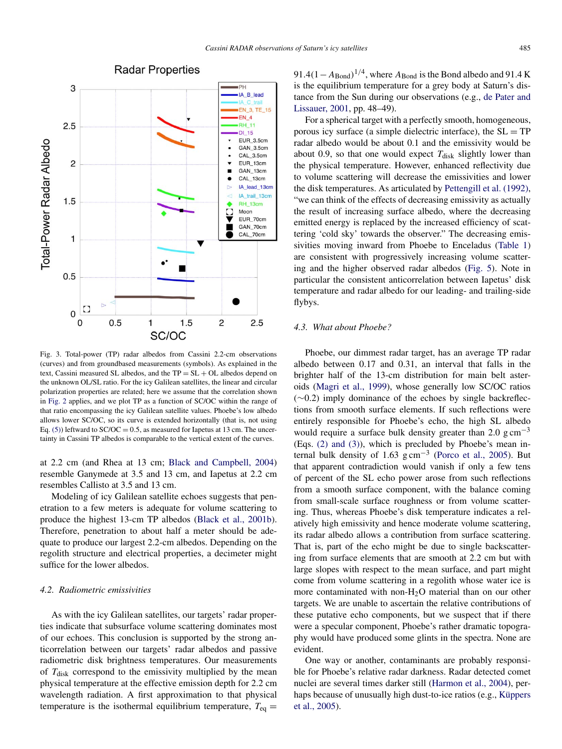<span id="page-6-0"></span>

Fig. 3. Total-power (TP) radar albedos from Cassini 2.2-cm observations (curves) and from groundbased measurements (symbols). As explained in the text, Cassini measured SL albedos, and the  $TP = SL + OL$  albedos depend on the unknown OL/SL ratio. For the icy Galilean satellites, the linear and circular polarization properties are related; here we assume that the correlation shown in [Fig. 2](#page-5-0) applies, and we plot TP as a function of SC/OC within the range of that ratio encompassing the icy Galilean satellite values. Phoebe's low albedo allows lower SC/OC, so its curve is extended horizontally (that is, not using Eq. [\(5\)\)](#page-5-0) leftward to  $SC/OC = 0.5$ , as measured for Iapetus at 13 cm. The uncertainty in Cassini TP albedos is comparable to the vertical extent of the curves.

at 2.2 cm (and Rhea at 13 cm; [Black and Campbell, 2004\)](#page-10-0) resemble Ganymede at 3.5 and 13 cm, and Iapetus at 2.2 cm resembles Callisto at 3.5 and 13 cm.

Modeling of icy Galilean satellite echoes suggests that penetration to a few meters is adequate for volume scattering to produce the highest 13-cm TP albedos [\(Black et al., 2001b\)](#page-10-0). Therefore, penetration to about half a meter should be adequate to produce our largest 2.2-cm albedos. Depending on the regolith structure and electrical properties, a decimeter might suffice for the lower albedos.

## *4.2. Radiometric emissivities*

As with the icy Galilean satellites, our targets' radar properties indicate that subsurface volume scattering dominates most of our echoes. This conclusion is supported by the strong anticorrelation between our targets' radar albedos and passive radiometric disk brightness temperatures. Our measurements of *T*disk correspond to the emissivity multiplied by the mean physical temperature at the effective emission depth for 2.2 cm wavelength radiation. A first approximation to that physical temperature is the isothermal equilibrium temperature,  $T_{eq}$  = 91.4 $(1 - A_{\text{Bond}})^{1/4}$ , where  $A_{\text{Bond}}$  is the Bond albedo and 91.4 K is the equilibrium temperature for a grey body at Saturn's distance from the Sun during our observations (e.g., [de Pater and](#page-10-0) [Lissauer, 2001,](#page-10-0) pp. 48–49).

For a spherical target with a perfectly smooth, homogeneous, porous icy surface (a simple dielectric interface), the  $SL = TP$ radar albedo would be about 0.1 and the emissivity would be about 0.9, so that one would expect  $T_{disk}$  slightly lower than the physical temperature. However, enhanced reflectivity due to volume scattering will decrease the emissivities and lower the disk temperatures. As articulated by [Pettengill et al. \(1992\),](#page-11-0) "we can think of the effects of decreasing emissivity as actually the result of increasing surface albedo, where the decreasing emitted energy is replaced by the increased efficiency of scattering 'cold sky' towards the observer." The decreasing emissivities moving inward from Phoebe to Enceladus [\(Table 1\)](#page-2-0) are consistent with progressively increasing volume scattering and the higher observed radar albedos [\(Fig. 5\)](#page-8-0). Note in particular the consistent anticorrelation between Iapetus' disk temperature and radar albedo for our leading- and trailing-side flybys.

#### *4.3. What about Phoebe?*

Phoebe, our dimmest radar target, has an average TP radar albedo between 0.17 and 0.31, an interval that falls in the brighter half of the 13-cm distribution for main belt asteroids [\(Magri et al., 1999\)](#page-11-0), whose generally low SC/OC ratios (∼0.2) imply dominance of the echoes by single backreflections from smooth surface elements. If such reflections were entirely responsible for Phoebe's echo, the high SL albedo would require a surface bulk density greater than 2.0  $\text{g cm}^{-3}$ (Eqs. [\(2\) and \(3\)\)](#page-1-0), which is precluded by Phoebe's mean internal bulk density of 1.63  $\text{g cm}^{-3}$  [\(Porco et al., 2005\)](#page-11-0). But that apparent contradiction would vanish if only a few tens of percent of the SL echo power arose from such reflections from a smooth surface component, with the balance coming from small-scale surface roughness or from volume scattering. Thus, whereas Phoebe's disk temperature indicates a relatively high emissivity and hence moderate volume scattering, its radar albedo allows a contribution from surface scattering. That is, part of the echo might be due to single backscattering from surface elements that are smooth at 2.2 cm but with large slopes with respect to the mean surface, and part might come from volume scattering in a regolith whose water ice is more contaminated with non-H2O material than on our other targets. We are unable to ascertain the relative contributions of these putative echo components, but we suspect that if there were a specular component, Phoebe's rather dramatic topography would have produced some glints in the spectra. None are evident.

One way or another, contaminants are probably responsible for Phoebe's relative radar darkness. Radar detected comet nuclei are several times darker still [\(Harmon et al., 2004\)](#page-11-0), perhaps because of unusually high dust-to-ice ratios (e.g., [Küppers](#page-11-0) [et al., 2005\)](#page-11-0).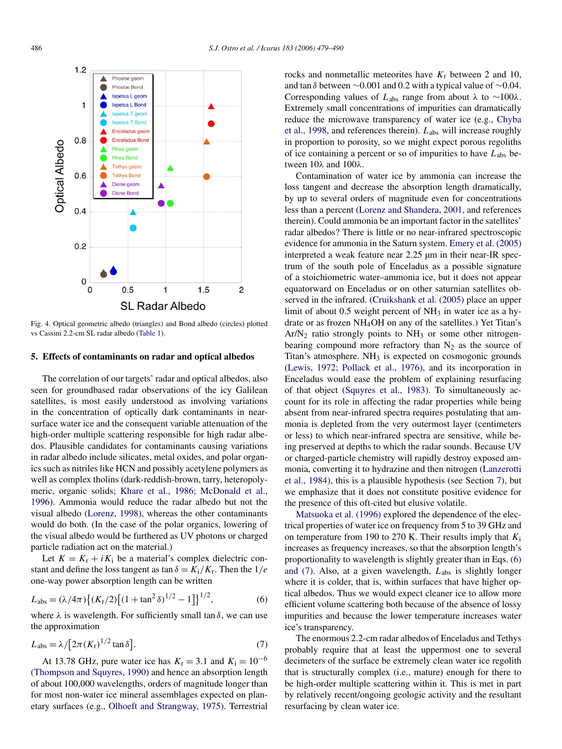<span id="page-7-0"></span>

Fig. 4. Optical geometric albedo (triangles) and Bond albedo (circles) plotted vs Cassini 2.2-cm SL radar albedo [\(Table 1\)](#page-2-0).

#### **5. Effects of contaminants on radar and optical albedos**

The correlation of our targets' radar and optical albedos, also seen for groundbased radar observations of the icy Galilean satellites, is most easily understood as involving variations in the concentration of optically dark contaminants in nearsurface water ice and the consequent variable attenuation of the high-order multiple scattering responsible for high radar albedos. Plausible candidates for contaminants causing variations in radar albedo include silicates, metal oxides, and polar organics such as nitriles like HCN and possibly acetylene polymers as well as complex tholins (dark-reddish-brown, tarry, heteropolymeric, organic solids; [Khare et al., 1986; McDonald et al.,](#page-11-0) [1996\)](#page-11-0). Ammonia would reduce the radar albedo but not the visual albedo [\(Lorenz, 1998\)](#page-11-0), whereas the other contaminants would do both. (In the case of the polar organics, lowering of the visual albedo would be furthered as UV photons or charged particle radiation act on the material.)

Let  $K = K_r + iK_i$  be a material's complex dielectric constant and define the loss tangent as tan  $\delta = K_i/K_r$ . Then the  $1/e$ one-way power absorption length can be written

$$
L_{\text{abs}} = (\lambda/4\pi) \left\{ (K_{\text{r}}/2) \left[ (1 + \tan^2 \delta)^{1/2} - 1 \right] \right\}^{1/2},\tag{6}
$$

where  $\lambda$  is wavelength. For sufficiently small tan  $\delta$ , we can use the approximation

$$
L_{\text{abs}} = \lambda / \left[ 2\pi (K_{\text{r}})^{1/2} \tan \delta \right]. \tag{7}
$$

At 13.78 GHz, pure water ice has  $K_r = 3.1$  and  $K_i = 10^{-6}$ [\(Thompson and Squyres, 1990\)](#page-11-0) and hence an absorption length of about 100,000 wavelengths, orders of magnitude longer than for most non-water ice mineral assemblages expected on planetary surfaces (e.g., [Olhoeft and Strangway, 1975\)](#page-11-0). Terrestrial rocks and nonmetallic meteorites have  $K_r$  between 2 and 10, and tan  $\delta$  between  $\sim$ 0.001 and 0.2 with a typical value of  $\sim$ 0.04. Corresponding values of  $L_{abs}$  range from about  $\lambda$  to ~100λ. Extremely small concentrations of impurities can dramatically reduce the microwave transparency of water ice (e.g., [Chyba](#page-10-0) [et al., 1998,](#page-10-0) and references therein). *L*abs will increase roughly in proportion to porosity, so we might expect porous regoliths of ice containing a percent or so of impurities to have *L*abs between 10*λ* and 100*λ*.

Contamination of water ice by ammonia can increase the loss tangent and decrease the absorption length dramatically, by up to several orders of magnitude even for concentrations less than a percent [\(Lorenz and Shandera, 2001,](#page-11-0) and references therein). Could ammonia be an important factor in the satellites' radar albedos? There is little or no near-infrared spectroscopic evidence for ammonia in the Saturn system. [Emery et al. \(2005\)](#page-10-0) interpreted a weak feature near 2.25 µm in their near-IR spectrum of the south pole of Enceladus as a possible signature of a stoichiometric water–ammonia ice, but it does not appear equatorward on Enceladus or on other saturnian satellites observed in the infrared. [\(Cruikshank et al. \(2005\)](#page-10-0) place an upper limit of about 0.5 weight percent of  $NH<sub>3</sub>$  in water ice as a hydrate or as frozen NH4OH on any of the satellites.) Yet Titan's  $Ar/N<sub>2</sub>$  ratio strongly points to  $NH<sub>3</sub>$  or some other nitrogenbearing compound more refractory than  $N_2$  as the source of Titan's atmosphere.  $NH<sub>3</sub>$  is expected on cosmogonic grounds [\(Lewis, 1972; Pollack et al., 1976\)](#page-11-0), and its incorporation in Enceladus would ease the problem of explaining resurfacing of that object [\(Squyres et al., 1983\)](#page-11-0). To simultaneously account for its role in affecting the radar properties while being absent from near-infrared spectra requires postulating that ammonia is depleted from the very outermost layer (centimeters or less) to which near-infrared spectra are sensitive, while being preserved at depths to which the radar sounds. Because UV or charged-particle chemistry will rapidly destroy exposed ammonia, converting it to hydrazine and then nitrogen [\(Lanzerotti](#page-11-0) [et al., 1984\)](#page-11-0), this is a plausible hypothesis (see Section [7\)](#page-8-0), but we emphasize that it does not constitute positive evidence for the presence of this oft-cited but elusive volatile.

[Matsuoka et al. \(1996\)](#page-11-0) explored the dependence of the electrical properties of water ice on frequency from 5 to 39 GHz and on temperature from 190 to 270 K. Their results imply that *K*<sup>i</sup> increases as frequency increases, so that the absorption length's proportionality to wavelength is slightly greater than in Eqs. (6) and (7). Also, at a given wavelength, *L*abs is slightly longer where it is colder, that is, within surfaces that have higher optical albedos. Thus we would expect cleaner ice to allow more efficient volume scattering both because of the absence of lossy impurities and because the lower temperature increases water ice's transparency.

The enormous 2.2-cm radar albedos of Enceladus and Tethys probably require that at least the uppermost one to several decimeters of the surface be extremely clean water ice regolith that is structurally complex (i.e., mature) enough for there to be high-order multiple scattering within it. This is met in part by relatively recent/ongoing geologic activity and the resultant resurfacing by clean water ice.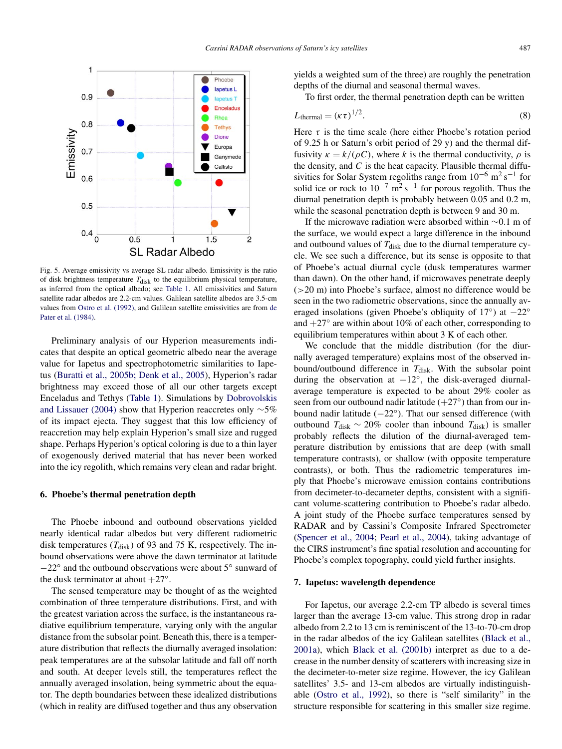<span id="page-8-0"></span>

Fig. 5. Average emissivity vs average SL radar albedo. Emissivity is the ratio of disk brightness temperature  $T_{disk}$  to the equilibrium physical temperature, as inferred from the optical albedo; see [Table 1.](#page-2-0) All emissivities and Saturn satellite radar albedos are 2.2-cm values. Galilean satellite albedos are 3.5-cm values from [Ostro et al. \(1992\),](#page-11-0) and Galilean satellite emissivities are from [de](#page-10-0) [Pater et al. \(1984\).](#page-10-0)

Preliminary analysis of our Hyperion measurements indicates that despite an optical geometric albedo near the average value for Iapetus and spectrophotometric similarities to Iapetus [\(Buratti et al., 2005b; Denk et al., 2005\)](#page-10-0), Hyperion's radar brightness may exceed those of all our other targets except Enceladus and Tethys [\(Table 1\)](#page-2-0). Simulations by [Dobrovolskis](#page-10-0) [and Lissauer \(2004\)](#page-10-0) show that Hyperion reaccretes only ∼5% of its impact ejecta. They suggest that this low efficiency of reaccretion may help explain Hyperion's small size and rugged shape. Perhaps Hyperion's optical coloring is due to a thin layer of exogenously derived material that has never been worked into the icy regolith, which remains very clean and radar bright.

## **6. Phoebe's thermal penetration depth**

The Phoebe inbound and outbound observations yielded nearly identical radar albedos but very different radiometric disk temperatures  $(T_{disk})$  of 93 and 75 K, respectively. The inbound observations were above the dawn terminator at latitude −22◦ and the outbound observations were about 5◦ sunward of the dusk terminator at about  $+27^\circ$ .

The sensed temperature may be thought of as the weighted combination of three temperature distributions. First, and with the greatest variation across the surface, is the instantaneous radiative equilibrium temperature, varying only with the angular distance from the subsolar point. Beneath this, there is a temperature distribution that reflects the diurnally averaged insolation: peak temperatures are at the subsolar latitude and fall off north and south. At deeper levels still, the temperatures reflect the annually averaged insolation, being symmetric about the equator. The depth boundaries between these idealized distributions (which in reality are diffused together and thus any observation yields a weighted sum of the three) are roughly the penetration depths of the diurnal and seasonal thermal waves.

To first order, the thermal penetration depth can be written

$$
L_{\text{thermal}} = (\kappa \tau)^{1/2}.
$$
 (8)

Here  $\tau$  is the time scale (here either Phoebe's rotation period of 9.25 h or Saturn's orbit period of 29 y) and the thermal diffusivity  $\kappa = k/(\rho C)$ , where *k* is the thermal conductivity,  $\rho$  is the density, and  $C$  is the heat capacity. Plausible thermal diffusivities for Solar System regoliths range from  $10^{-6}$  m<sup>2</sup> s<sup>-1</sup> for solid ice or rock to  $10^{-7}$  m<sup>2</sup> s<sup>-1</sup> for porous regolith. Thus the diurnal penetration depth is probably between 0.05 and 0.2 m, while the seasonal penetration depth is between 9 and 30 m.

If the microwave radiation were absorbed within ∼0.1 m of the surface, we would expect a large difference in the inbound and outbound values of  $T_{disk}$  due to the diurnal temperature cycle. We see such a difference, but its sense is opposite to that of Phoebe's actual diurnal cycle (dusk temperatures warmer than dawn). On the other hand, if microwaves penetrate deeply (*>*20 m) into Phoebe's surface, almost no difference would be seen in the two radiometric observations, since the annually averaged insolations (given Phoebe's obliquity of 17°) at  $-22°$ and  $+27^\circ$  are within about 10% of each other, corresponding to equilibrium temperatures within about 3 K of each other.

We conclude that the middle distribution (for the diurnally averaged temperature) explains most of the observed inbound/outbound difference in  $T_{disk}$ . With the subsolar point during the observation at  $-12°$ , the disk-averaged diurnalaverage temperature is expected to be about 29% cooler as seen from our outbound nadir latitude  $(+27°)$  than from our inbound nadir latitude  $(-22°)$ . That our sensed difference (with outbound  $T<sub>disk</sub> ∼ 20%$  cooler than inbound  $T<sub>disk</sub>$ ) is smaller probably reflects the dilution of the diurnal-averaged temperature distribution by emissions that are deep (with small temperature contrasts), or shallow (with opposite temperature contrasts), or both. Thus the radiometric temperatures imply that Phoebe's microwave emission contains contributions from decimeter-to-decameter depths, consistent with a significant volume-scattering contribution to Phoebe's radar albedo. A joint study of the Phoebe surface temperatures sensed by RADAR and by Cassini's Composite Infrared Spectrometer [\(Spencer et al., 2004;](#page-11-0) [Pearl et al., 2004\)](#page-11-0), taking advantage of the CIRS instrument's fine spatial resolution and accounting for Phoebe's complex topography, could yield further insights.

## **7. Iapetus: wavelength dependence**

For Iapetus, our average 2.2-cm TP albedo is several times larger than the average 13-cm value. This strong drop in radar albedo from 2.2 to 13 cm is reminiscent of the 13-to-70-cm drop in the radar albedos of the icy Galilean satellites [\(Black et al.,](#page-10-0) [2001a\)](#page-10-0), which [Black et al. \(2001b\)](#page-10-0) interpret as due to a decrease in the number density of scatterers with increasing size in the decimeter-to-meter size regime. However, the icy Galilean satellites' 3.5- and 13-cm albedos are virtually indistinguishable [\(Ostro et al., 1992\)](#page-11-0), so there is "self similarity" in the structure responsible for scattering in this smaller size regime.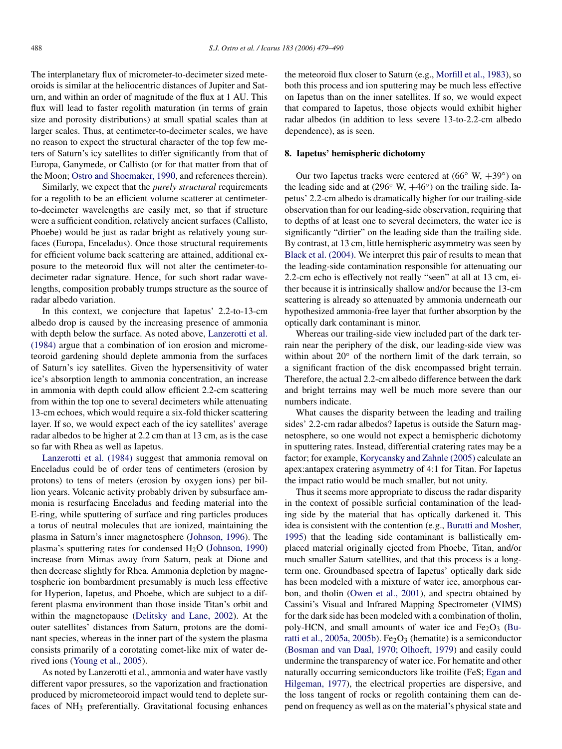The interplanetary flux of micrometer-to-decimeter sized meteoroids is similar at the heliocentric distances of Jupiter and Saturn, and within an order of magnitude of the flux at 1 AU. This flux will lead to faster regolith maturation (in terms of grain size and porosity distributions) at small spatial scales than at larger scales. Thus, at centimeter-to-decimeter scales, we have no reason to expect the structural character of the top few meters of Saturn's icy satellites to differ significantly from that of Europa, Ganymede, or Callisto (or for that matter from that of the Moon; [Ostro and Shoemaker, 1990,](#page-11-0) and references therein).

Similarly, we expect that the *purely structural* requirements for a regolith to be an efficient volume scatterer at centimeterto-decimeter wavelengths are easily met, so that if structure were a sufficient condition, relatively ancient surfaces (Callisto, Phoebe) would be just as radar bright as relatively young surfaces (Europa, Enceladus). Once those structural requirements for efficient volume back scattering are attained, additional exposure to the meteoroid flux will not alter the centimeter-todecimeter radar signature. Hence, for such short radar wavelengths, composition probably trumps structure as the source of radar albedo variation.

In this context, we conjecture that Iapetus' 2.2-to-13-cm albedo drop is caused by the increasing presence of ammonia with depth below the surface. As noted above, [Lanzerotti et al.](#page-11-0) [\(1984\)](#page-11-0) argue that a combination of ion erosion and micrometeoroid gardening should deplete ammonia from the surfaces of Saturn's icy satellites. Given the hypersensitivity of water ice's absorption length to ammonia concentration, an increase in ammonia with depth could allow efficient 2.2-cm scattering from within the top one to several decimeters while attenuating 13-cm echoes, which would require a six-fold thicker scattering layer. If so, we would expect each of the icy satellites' average radar albedos to be higher at 2.2 cm than at 13 cm, as is the case so far with Rhea as well as Iapetus.

[Lanzerotti et al. \(1984\)](#page-11-0) suggest that ammonia removal on Enceladus could be of order tens of centimeters (erosion by protons) to tens of meters (erosion by oxygen ions) per billion years. Volcanic activity probably driven by subsurface ammonia is resurfacing Enceladus and feeding material into the E-ring, while sputtering of surface and ring particles produces a torus of neutral molecules that are ionized, maintaining the plasma in Saturn's inner magnetosphere [\(Johnson, 1996\)](#page-11-0). The plasma's sputtering rates for condensed  $H_2O$  [\(Johnson, 1990\)](#page-11-0) increase from Mimas away from Saturn, peak at Dione and then decrease slightly for Rhea. Ammonia depletion by magnetospheric ion bombardment presumably is much less effective for Hyperion, Iapetus, and Phoebe, which are subject to a different plasma environment than those inside Titan's orbit and within the magnetopause [\(Delitsky and Lane, 2002\)](#page-10-0). At the outer satellites' distances from Saturn, protons are the dominant species, whereas in the inner part of the system the plasma consists primarily of a corotating comet-like mix of water derived ions [\(Young et al., 2005\)](#page-11-0).

As noted by Lanzerotti et al., ammonia and water have vastly different vapor pressures, so the vaporization and fractionation produced by micrometeoroid impact would tend to deplete surfaces of NH3 preferentially. Gravitational focusing enhances

the meteoroid flux closer to Saturn (e.g., [Morfill et al., 1983\)](#page-11-0), so both this process and ion sputtering may be much less effective on Iapetus than on the inner satellites. If so, we would expect that compared to Iapetus, those objects would exhibit higher radar albedos (in addition to less severe 13-to-2.2-cm albedo dependence), as is seen.

## **8. Iapetus' hemispheric dichotomy**

Our two Iapetus tracks were centered at  $(66° \text{ W}, +39°)$  on the leading side and at  $(296° \text{ W}, +46°)$  on the trailing side. Iapetus' 2.2-cm albedo is dramatically higher for our trailing-side observation than for our leading-side observation, requiring that to depths of at least one to several decimeters, the water ice is significantly "dirtier" on the leading side than the trailing side. By contrast, at 13 cm, little hemispheric asymmetry was seen by [Black et al. \(2004\).](#page-10-0) We interpret this pair of results to mean that the leading-side contamination responsible for attenuating our 2.2-cm echo is effectively not really "seen" at all at 13 cm, either because it is intrinsically shallow and/or because the 13-cm scattering is already so attenuated by ammonia underneath our hypothesized ammonia-free layer that further absorption by the optically dark contaminant is minor.

Whereas our trailing-side view included part of the dark terrain near the periphery of the disk, our leading-side view was within about 20◦ of the northern limit of the dark terrain, so a significant fraction of the disk encompassed bright terrain. Therefore, the actual 2.2-cm albedo difference between the dark and bright terrains may well be much more severe than our numbers indicate.

What causes the disparity between the leading and trailing sides' 2.2-cm radar albedos? Iapetus is outside the Saturn magnetosphere, so one would not expect a hemispheric dichotomy in sputtering rates. Instead, differential cratering rates may be a factor; for example, [Korycansky and Zahnle \(2005\)](#page-11-0) calculate an apex:antapex cratering asymmetry of 4:1 for Titan. For Iapetus the impact ratio would be much smaller, but not unity.

Thus it seems more appropriate to discuss the radar disparity in the context of possible surficial contamination of the leading side by the material that has optically darkened it. This idea is consistent with the contention (e.g., [Buratti and Mosher,](#page-10-0) [1995\)](#page-10-0) that the leading side contaminant is ballistically emplaced material originally ejected from Phoebe, Titan, and/or much smaller Saturn satellites, and that this process is a longterm one. Groundbased spectra of Iapetus' optically dark side has been modeled with a mixture of water ice, amorphous carbon, and tholin [\(Owen et al., 2001\)](#page-11-0), and spectra obtained by Cassini's Visual and Infrared Mapping Spectrometer (VIMS) for the dark side has been modeled with a combination of tholin, poly-HCN, and small amounts of water ice and  $Fe<sub>2</sub>O<sub>3</sub>$  [\(Bu](#page-10-0)[ratti et al., 2005a, 2005b\)](#page-10-0). Fe<sub>2</sub>O<sub>3</sub> (hematite) is a semiconductor [\(Bosman and van Daal, 1970; Olhoeft, 1979\)](#page-10-0) and easily could undermine the transparency of water ice. For hematite and other naturally occurring semiconductors like troilite (FeS; [Egan and](#page-10-0) [Hilgeman, 1977\)](#page-10-0), the electrical properties are dispersive, and the loss tangent of rocks or regolith containing them can depend on frequency as well as on the material's physical state and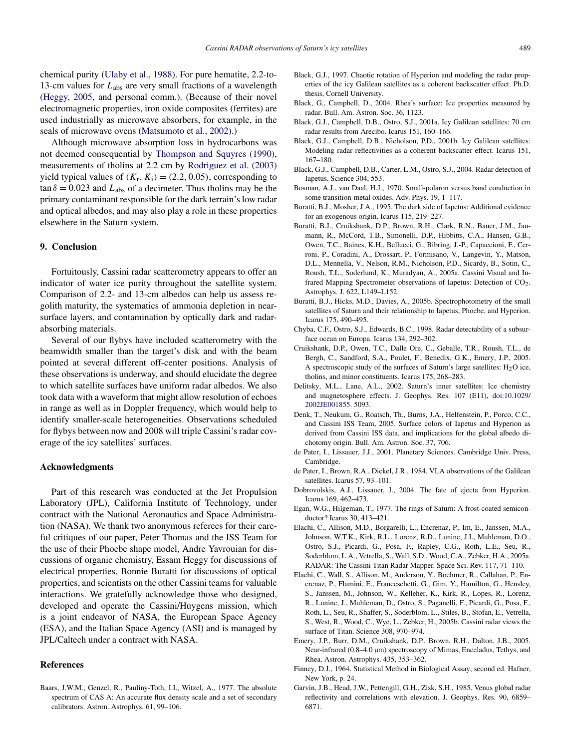<span id="page-10-0"></span>chemical purity [\(Ulaby et al., 1988\)](#page-11-0). For pure hematite, 2.2-to-13-cm values for *L*abs are very small fractions of a wavelength [\(Heggy, 2005,](#page-11-0) and personal comm.). (Because of their novel electromagnetic properties, iron oxide composites (ferrites) are used industrially as microwave absorbers, for example, in the seals of microwave ovens [\(Matsumoto et al., 2002\)](#page-11-0).)

Although microwave absorption loss in hydrocarbons was not deemed consequential by [Thompson and Squyres \(1990\),](#page-11-0) measurements of tholins at 2.2 cm by [Rodriguez et al. \(2003\)](#page-11-0) yield typical values of  $(K_r, K_i) = (2.2, 0.05)$ , corresponding to  $\tan \delta = 0.023$  and  $L_{\text{abs}}$  of a decimeter. Thus tholins may be the primary contaminant responsible for the dark terrain's low radar and optical albedos, and may also play a role in these properties elsewhere in the Saturn system.

## **9. Conclusion**

Fortuitously, Cassini radar scatterometry appears to offer an indicator of water ice purity throughout the satellite system. Comparison of 2.2- and 13-cm albedos can help us assess regolith maturity, the systematics of ammonia depletion in nearsurface layers, and contamination by optically dark and radarabsorbing materials.

Several of our flybys have included scatterometry with the beamwidth smaller than the target's disk and with the beam pointed at several different off-center positions. Analysis of these observations is underway, and should elucidate the degree to which satellite surfaces have uniform radar albedos. We also took data with a waveform that might allow resolution of echoes in range as well as in Doppler frequency, which would help to identify smaller-scale heterogeneities. Observations scheduled for flybys between now and 2008 will triple Cassini's radar coverage of the icy satellites' surfaces.

#### **Acknowledgments**

Part of this research was conducted at the Jet Propulsion Laboratory (JPL), California Institute of Technology, under contract with the National Aeronautics and Space Administration (NASA). We thank two anonymous referees for their careful critiques of our paper, Peter Thomas and the ISS Team for the use of their Phoebe shape model, Andre Yavrouian for discussions of organic chemistry, Essam Heggy for discussions of electrical properties, Bonnie Buratti for discussions of optical properties, and scientists on the other Cassini teams for valuable interactions. We gratefully acknowledge those who designed, developed and operate the Cassini/Huygens mission, which is a joint endeavor of NASA, the European Space Agency (ESA), and the Italian Space Agency (ASI) and is managed by JPL/Caltech under a contract with NASA.

## **References**

Baars, J.W.M., Genzel, R., Pauliny-Toth, I.I., Witzel, A., 1977. The absolute spectrum of CAS A: An accurate flux density scale and a set of secondary calibrators. Astron. Astrophys. 61, 99–106.

- Black, G.J., 1997. Chaotic rotation of Hyperion and modeling the radar properties of the icy Galilean satellites as a coherent backscatter effect. Ph.D. thesis, Cornell University.
- Black, G., Campbell, D., 2004. Rhea's surface: Ice properties measured by radar. Bull. Am. Astron. Soc. 36, 1123.
- Black, G.J., Campbell, D.B., Ostro, S.J., 2001a. Icy Galilean satellites: 70 cm radar results from Arecibo. Icarus 151, 160–166.
- Black, G.J., Campbell, D.B., Nicholson, P.D., 2001b. Icy Galilean satellites: Modeling radar reflectivities as a coherent backscatter effect. Icarus 151, 167–180.
- Black, G.J., Campbell, D.B., Carter, L.M., Ostro, S.J., 2004. Radar detection of Iapetus. Science 304, 553.
- Bosman, A.J., van Daal, H.J., 1970. Small-polaron versus band conduction in some transition-metal oxides. Adv. Phys. 19, 1–117.
- Buratti, B.J., Mosher, J.A., 1995. The dark side of Iapetus: Additional evidence for an exogenous origin. Icarus 115, 219–227.
- Buratti, B.J., Cruikshank, D.P., Brown, R.H., Clark, R.N., Bauer, J.M., Jaumann, R., McCord, T.B., Simonelli, D.P., Hibbitts, C.A., Hansen, G.B., Owen, T.C., Baines, K.H., Bellucci, G., Bibring, J.-P., Capaccioni, F., Cerroni, P., Coradini, A., Drossart, P., Formisano, V., Langevin, Y., Matson, D.L., Mennella, V., Nelson, R.M., Nicholson, P.D., Sicardy, B., Sotin, C., Roush, T.L., Soderlund, K., Muradyan, A., 2005a. Cassini Visual and Infrared Mapping Spectrometer observations of Iapetus: Detection of CO<sub>2</sub>. Astrophys. J. 622, L149–L152.
- Buratti, B.J., Hicks, M.D., Davies, A., 2005b. Spectrophotometry of the small satellites of Saturn and their relationship to Iapetus, Phoebe, and Hyperion. Icarus 175, 490–495.
- Chyba, C.F., Ostro, S.J., Edwards, B.C., 1998. Radar detectability of a subsurface ocean on Europa. Icarus 134, 292–302.
- Cruikshank, D.P., Owen, T.C., Dalle Ore, C., Geballe, T.R., Roush, T.L., de Bergh, C., Sandford, S.A., Poulet, F., Benedix, G.K., Emery, J.P., 2005. A spectroscopic study of the surfaces of Saturn's large satellites:  $H_2O$  ice, tholins, and minor constituents. Icarus 175, 268–283.
- Delitsky, M.L., Lane, A.L., 2002. Saturn's inner satellites: Ice chemistry and magnetosphere effects. J. Geophys. Res. 107 (E11), [doi:10.1029/](http://dx.doi.org/10.1029/2002JE001855) [2002JE001855.](http://dx.doi.org/10.1029/2002JE001855) 5093.
- Denk, T., Neukum, G., Roatsch, Th., Burns, J.A., Helfenstein, P., Porco, C.C., and Cassini ISS Team, 2005. Surface colors of Iapetus and Hyperion as derived from Cassini ISS data, and implications for the global albedo dichotomy origin. Bull. Am. Astron. Soc. 37, 706.
- de Pater, I., Lissauer, J.J., 2001. Planetary Sciences. Cambridge Univ. Press, Cambridge.
- de Pater, I., Brown, R.A., Dickel, J.R., 1984. VLA observations of the Galilean satellites. Icarus 57, 93–101.
- Dobrovolskis, A.J., Lissauer, J., 2004. The fate of ejecta from Hyperion. Icarus 169, 462–473.
- Egan, W.G., Hilgeman, T., 1977. The rings of Saturn: A frost-coated semiconductor? Icarus 30, 413–421.
- Elachi, C., Allison, M.D., Borgarelli, L., Encrenaz, P., Im, E., Janssen, M.A., Johnson, W.T.K., Kirk, R.L., Lorenz, R.D., Lunine, J.I., Muhleman, D.O., Ostro, S.J., Picardi, G., Posa, F., Rapley, C.G., Roth, L.E., Seu, R., Soderblom, L.A., Vetrella, S., Wall, S.D., Wood, C.A., Zebker, H.A., 2005a. RADAR: The Cassini Titan Radar Mapper. Space Sci. Rev. 117, 71–110.
- Elachi, C., Wall, S., Allison, M., Anderson, Y., Boehmer, R., Callahan, P., Encrenaz, P., Flamini, E., Franceschetti, G., Gim, Y., Hamilton, G., Hensley, S., Janssen, M., Johnson, W., Kelleher, K., Kirk, R., Lopes, R., Lorenz, R., Lunine, J., Muhleman, D., Ostro, S., Paganelli, F., Picardi, G., Posa, F., Roth, L., Seu, R., Shaffer, S., Soderblom, L., Stiles, B., Stofan, E., Vetrella, S., West, R., Wood, C., Wye, L., Zebker, H., 2005b. Cassini radar views the surface of Titan. Science 308, 970–974.
- Emery, J.P., Burr, D.M., Cruikshank, D.P., Brown, R.H., Dalton, J.B., 2005. Near-infrared (0.8–4.0 µm) spectroscopy of Mimas, Enceladus, Tethys, and Rhea. Astron. Astrophys. 435, 353–362.
- Finney, D.J., 1964. Statistical Method in Biological Assay, second ed. Hafner, New York, p. 24.
- Garvin, J.B., Head, J.W., Pettengill, G.H., Zisk, S.H., 1985. Venus global radar reflectivity and correlations with elevation. J. Geophys. Res. 90, 6859– 6871.